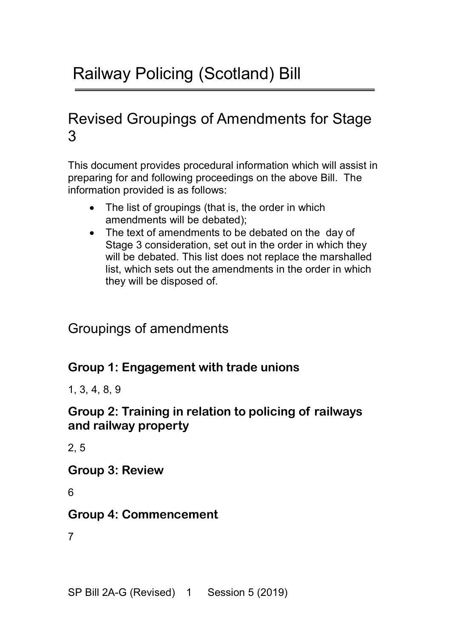# Revised Groupings of Amendments for Stage 3

This document provides procedural information which will assist in preparing for and following proceedings on the above Bill. The information provided is as follows:

- The list of groupings (that is, the order in which amendments will be debated);
- The text of amendments to be debated on the day of Stage 3 consideration, set out in the order in which they will be debated. This list does not replace the marshalled list, which sets out the amendments in the order in which they will be disposed of.

## Groupings of amendments

#### **Group 1: Engagement with trade unions**

1, 3, 4, 8, 9

#### **Group 2: Training in relation to policing of railways and railway property**

2, 5

**Group 3: Review**

6

### **Group 4: Commencement**

7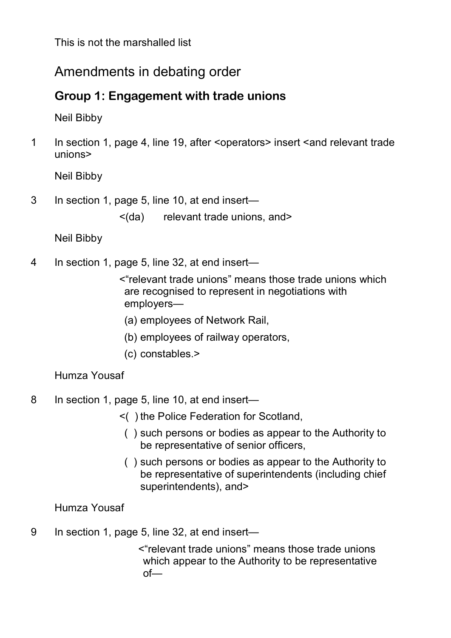## Amendments in debating order

### **Group 1: Engagement with trade unions**

Neil Bibby

1 In section 1, page 4, line 19, after <operators> insert <and relevant trade unions>

Neil Bibby

- 3 In section 1, page 5, line 10, at end insert—
	- <(da) relevant trade unions, and>

Neil Bibby

- 4 In section 1, page 5, line 32, at end insert—
	- <"relevant trade unions" means those trade unions which are recognised to represent in negotiations with employers—
	- (a) employees of Network Rail,
	- (b) employees of railway operators,
	- (c) constables.>

#### Humza Yousaf

- 8 In section 1, page 5, line 10, at end insert—
	- <( ) the Police Federation for Scotland,
		- ( ) such persons or bodies as appear to the Authority to be representative of senior officers,
		- ( ) such persons or bodies as appear to the Authority to be representative of superintendents (including chief superintendents), and>

#### Humza Yousaf

9 In section 1, page 5, line 32, at end insert—

<"relevant trade unions" means those trade unions which appear to the Authority to be representative of—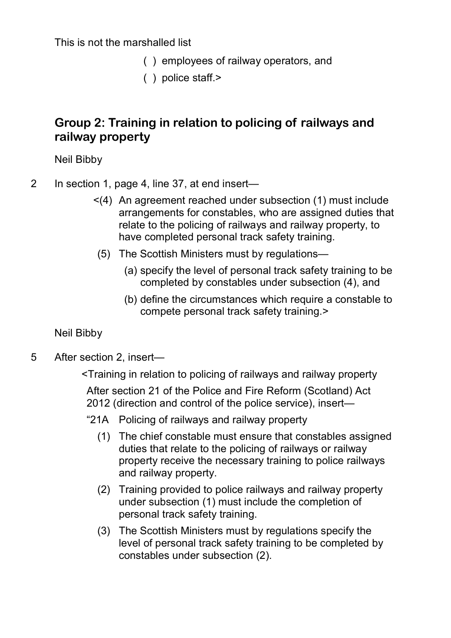- ( ) employees of railway operators, and
- ( ) police staff.>

#### **Group 2: Training in relation to policing of railways and railway property**

Neil Bibby

2 In section 1, page 4, line 37, at end insert—

- <(4) An agreement reached under subsection (1) must include arrangements for constables, who are assigned duties that relate to the policing of railways and railway property, to have completed personal track safety training.
- (5) The Scottish Ministers must by regulations—
	- (a) specify the level of personal track safety training to be completed by constables under subsection (4), and
	- (b) define the circumstances which require a constable to compete personal track safety training.>

Neil Bibby

- 5 After section 2, insert—
	- <Training in relation to policing of railways and railway property

After section 21 of the Police and Fire Reform (Scotland) Act 2012 (direction and control of the police service), insert—

- "21A Policing of railways and railway property
	- (1) The chief constable must ensure that constables assigned duties that relate to the policing of railways or railway property receive the necessary training to police railways and railway property.
	- (2) Training provided to police railways and railway property under subsection (1) must include the completion of personal track safety training.
	- (3) The Scottish Ministers must by regulations specify the level of personal track safety training to be completed by constables under subsection (2).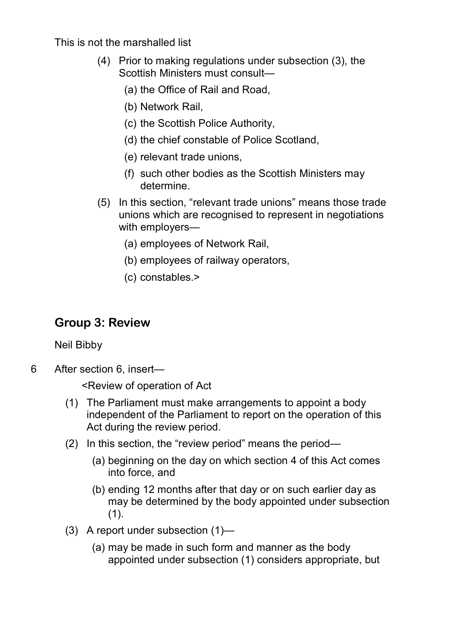- (4) Prior to making regulations under subsection (3), the Scottish Ministers must consult—
	- (a) the Office of Rail and Road,
	- (b) Network Rail,
	- (c) the Scottish Police Authority,
	- (d) the chief constable of Police Scotland,
	- (e) relevant trade unions,
	- (f) such other bodies as the Scottish Ministers may determine.
- (5) In this section, "relevant trade unions" means those trade unions which are recognised to represent in negotiations with employers—
	- (a) employees of Network Rail,
	- (b) employees of railway operators,
	- (c) constables.>

## **Group 3: Review**

Neil Bibby

6 After section 6, insert—

<Review of operation of Act

- (1) The Parliament must make arrangements to appoint a body independent of the Parliament to report on the operation of this Act during the review period.
- (2) In this section, the "review period" means the period—
	- (a) beginning on the day on which section 4 of this Act comes into force, and
	- (b) ending 12 months after that day or on such earlier day as may be determined by the body appointed under subsection (1).
- (3) A report under subsection (1)—
	- (a) may be made in such form and manner as the body appointed under subsection (1) considers appropriate, but